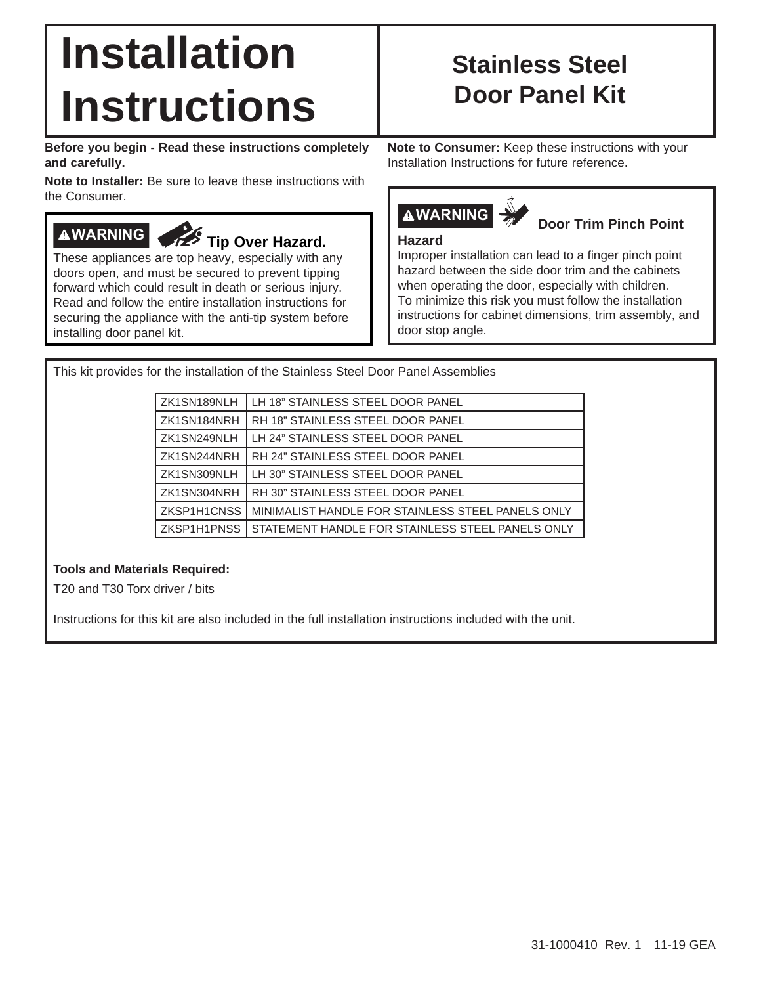# **Installation Instructions**

**Before you begin - Read these instructions completely and carefully.**

**Note to Installer:** Be sure to leave these instructions with the Consumer.

# **AWARNING Tip Over Hazard.**

These appliances are top heavy, especially with any doors open, and must be secured to prevent tipping forward which could result in death or serious injury. Read and follow the entire installation instructions for securing the appliance with the anti-tip system before installing door panel kit.

# **Stainless Steel Door Panel Kit**

**Note to Consumer:** Keep these instructions with your Installation Instructions for future reference.

# **AWARNING**

**Hazard**

### **<sup>d</sup> Door Trim Pinch Point**

Improper installation can lead to a finger pinch point hazard between the side door trim and the cabinets when operating the door, especially with children. To minimize this risk you must follow the installation instructions for cabinet dimensions, trim assembly, and door stop angle.

This kit provides for the installation of the Stainless Steel Door Panel Assemblies

| ZK1SN189NLH | LH 18" STAINLESS STEEL DOOR PANEL                 |
|-------------|---------------------------------------------------|
| ZK1SN184NRH | RH 18" STAINLESS STEEL DOOR PANEL                 |
| ZK1SN249NLH | LH 24" STAINLESS STEEL DOOR PANEL                 |
| ZK1SN244NRH | RH 24" STAINLESS STEEL DOOR PANEL                 |
| ZK1SN309NLH | LH 30" STAINLESS STEEL DOOR PANEL                 |
| ZK1SN304NRH | RH 30" STAINLESS STEEL DOOR PANEL                 |
| ZKSP1H1CNSS | MINIMALIST HANDLE FOR STAINLESS STEEL PANELS ONLY |
| ZKSP1H1PNSS | STATEMENT HANDLE FOR STAINLESS STEEL PANELS ONLY  |

#### **Tools and Materials Required:**

T20 and T30 Torx driver / bits

Instructions for this kit are also included in the full installation instructions included with the unit.